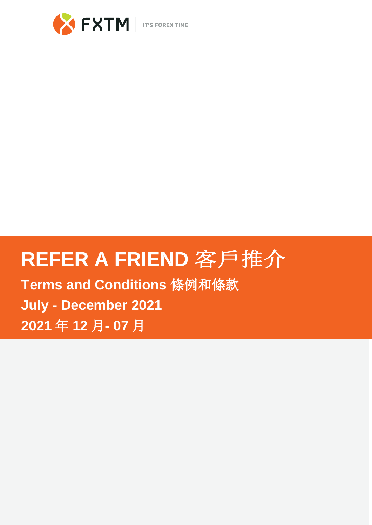

# **REFER A FRIEND** 客戶推介

**Terms and Conditions** 條例和條款 **July - December 2021 2021** 年 **12** 月**- 07** 月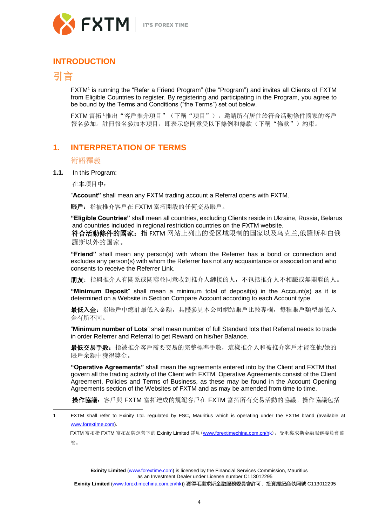

## **INTRODUCTION**

# 引言

FXTM<sup>1</sup> is running the "Refer a Friend Program" (the "Program") and invites all Clients of FXTM from Eligible Countries to register. By registering and participating in the Program, you agree to be bound by the Terms and Conditions ("the Terms") set out below.

FXTM 富拓<sup>1</sup>推出"客戶推介項目"(下稱"項目"),邀請所有居住於符合活動條件國家的客戶 報名參加。註冊報名參加本項目,即表示您同意受以下條例和條款(下稱"條款")約束。

# **1. INTERPRETATION OF TERMS**

## 術語釋義

**1.1.** In this Program:

在本項目中:

"**Account"** shall mean any FXTM trading account a Referral opens with FXTM.

賬戶:指被推介客戶在 FXTM 富拓開設的任何交易賬戶。

**"Eligible Countries"** shall mean all countries, excluding Clients reside in Ukraine, Russia, Belarus and countries included in regional restriction countries on the FXTM website.

符合活動條件的國家:指 FXTM 网站上列出的受区域限制的国家以及乌克兰,俄羅斯和白俄 羅斯以外的国家。

**"Friend"** shall mean any person(s) with whom the Referrer has a bond or connection and excludes any person(s) with whom the Referrer has not any acquaintance or association and who consents to receive the Referrer Link.

朋友:指與推介人有關系或關聯並同意收到推介人鏈接的人,不包括推介人不相識或無關聯的人。

**"Minimum Deposit**" shall mean a minimum total of deposit(s) in the Account(s) as it is determined on a Website in Section [Compare Account](https://www.forextime.com/forex-trading/accounts/compare-forex-accounts) according to each Account type.

最低入金: 指賬戶中總計最低入金額, 具體參見本公司網站賬戶比較專欄, 每種賬戶類型最低入 金有所不同。

"**Minimum number of Lots**" shall mean number of full Standard lots that Referral needs to trade in order Referrer and Referral to get Reward on his/her Balance.

最低交易手數:指被推介客戶需要交易的完整標準手數,這樣推介人和被推介客戶才能在他/她的 賬戶余額中獲得獎金。

**"Operative Agreements"** shall mean the agreements entered into by the Client and FXTM that govern all the trading activity of the Client with FXTM. Operative Agreements consist of the Client Agreement, Policies and Terms of Business, as these may be found in the Account Opening Agreements section of the Websites of FXTM and as may be amended from time to time.

操作協議:客戶與 FXTM 富拓達成的規範客戶在 FXTM 富拓所有交易活動的協議。操作協議包括

FXTM 富拓指 FXTM 富拓品牌運營下的 Exinity Limited 詳見 ([www.forextimechina.com.cn/hk](http://www.forextimechina.com.cn/hk)，受毛裏求斯金融服務委員會監))[,受毛裏求斯金融服務委員會監](http://www.forextimechina.com.cn/hk)，受毛裏求斯金融服務委員會監) 管。

**Exinity Limited** [\(www.forextime.com\)](http://www.forextime.com/) is licensed by the Financial Services Commission, Mauritius as an Investment Dealer under License number C113012295

<sup>1</sup> FXTM shall refer to Exinity Ltd. regulated by FSC, Mauritius which is operating under the FXTM brand (available at [www.forextime.com\).](http://www.forextime.com/)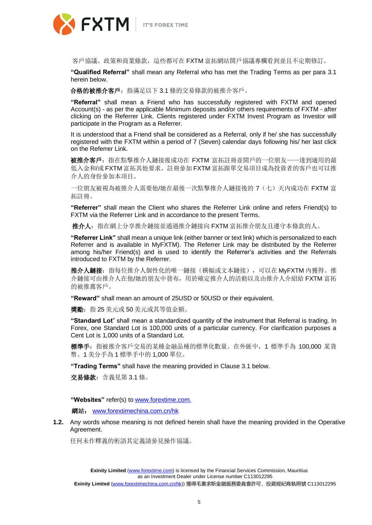

客戶協議、政策和商業條款,這些都可在 FXTM 富拓網站開戶協議專欄看到並且不定期修訂。

**"Qualified Referral"** shall mean any Referral who has met the Trading Terms as per para 3.1 herein below.

合格的被推介客戶:指滿足以下 3.1 條的交易條款的被推介客戶。

**"Referral"** shall mean a Friend who has successfully registered with FXTM and opened Account(s) - as per the applicable Minimum deposits and/or others requirements of FXTM - after clicking on the Referrer Link. Clients registered under FXTM Invest Program as Investor will participate in the Program as a Referrer.

It is understood that a Friend shall be considered as a Referral, only if he/ she has successfully registered with the FXTM within a period of 7 (Seven) calendar days following his/ her last click on the Referrer Link.

被推介客戶: 指在點擊推介人鏈接後成功在 FXTM 富拓註冊並開戶的一位朋友——達到適用的最 低入金和/或 FXTM 富拓其他要求。註冊參加 FXTM 富拓跟單交易項目成為投資者的客戶也可以推 介人的身份參加本項目。

一位朋友被視為被推介人需要他/她在最後一次點擊推介人鏈接後的 7(七)天內成功在 FXTM 富 拓註冊。

**"Referrer"** shall mean the Client who shares the Referrer Link online and refers Friend(s) to FXTM via the Referrer Link and in accordance to the present Terms.

推介人:指在網上分享推介鏈接並通過推介鏈接向 FXTM 富拓推介朋友且遵守本條款的人。

**"Referrer Link"** shall mean a unique link (either banner or text link) which is personalized to each Referrer and is available in MyFXTM). The Referrer Link may be distributed by the Referrer among his/her Friend(s) and is used to identify the Referrer's activities and the Referrals introduced to FXTM by the Referrer.

推介人鏈接:指每位推介人個性化的唯一鏈接(橫幅或文本鏈接),可以在 MyFXTM 內獲得。推 介鏈接可由推介人在他/她的朋友中發布,用於確定推介人的活動以及由推介人介紹給 FXTM 富拓 的被推薦客戶。

**"Reward"** shall mean an amount of 25USD or 50USD or their equivalent.

獎勵:指 25 美元或 50 美元或其等值金額。

**"Standard Lot**" shall mean a standardized quantity of the instrument that Referral is trading. In Forex, one Standard Lot is 100,000 units of a particular currency. For clarification purposes a Cent Lot is 1,000 units of a Standard Lot.

標準手:指被推介客戶交易的某種金融品種的標準化數量。在外匯中,1 標準手為 100,000 某貨 幣。1 美分手為 1 標準手中的 1,000 單位。

**"Trading Terms"** shall have the meaning provided in Clause 3.1 below.

交易條款:含義見第 3.1 條。

**"Websites"** refer(s) to [www.forextime.com.](http://www.forextime.com/)

網站[:](http://www.fxtmchina.com/hk) [www.forextimechina.com.cn/hk](http://www.fxtmchina.com/hk)

**1.2.** Any words whose meaning is not defined herein shall have the meaning provided in the Operative Agreement.

任何未作釋義的術語其定義請參見操作協議。

**Exinity Limited** [\(www.forextime.com\)](http://www.forextime.com/) is licensed by the Financial Services Commission, Mauritius as an Investment Dealer under License number C113012295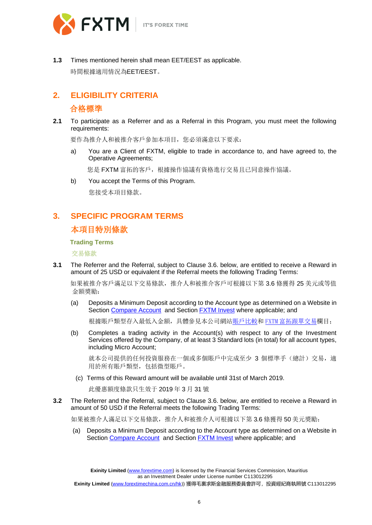



**1.3** Times mentioned herein shall mean EET/EEST as applicable. 時間根據適用情況為EET/EEST。

# **2. ELIGIBILITY CRITERIA** 合格標準

**2.1** To participate as a Referrer and as a Referral in this Program, you must meet the following requirements:

要作為推介人和被推介客戶參加本項目,您必須滿意以下要求:

a) You are a Client of FXTM, eligible to trade in accordance to, and have agreed to, the Operative Agreements;

您是 FXTM 富拓的客戶, 根據操作協議有資格進行交易且已同意操作協議。

b) You accept the Terms of this Program.

您接受本項目條款。

# **3. SPECIFIC PROGRAM TERMS**  本項目特別條款

#### **Trading Terms**

交易條款

**3.1** The Referrer and the Referral, subject to Clause 3.6. below, are entitled to receive a Reward in amount of 25 USD or equivalent if the Referral meets the following Trading Terms:

 如果被推介客戶滿足以下交易條款,推介人和被推介客戶可根據以下第 3.6 條獲得 25 美元或等值 金額獎勵:

(a) Deposits a Minimum Deposit according to the Account type as determined on a Website in Section [Compare Account](https://www.forextime.com/forex-trading/accounts/compare-forex-accounts) and Section **FXTM Invest** where applicable; and

根據賬戶類型存入最低入金額,具體參見本公司網站賬戶比較和 FXTM 富拓跟單交易欄目;

(b) Completes a trading activity in the Account(s) with respect to any of the Investment Services offered by the Company, of at least 3 Standard lots (in total) for all account types, including Micro Account;

就本公司提供的任何投資服務在一個或多個賬戶中完成至少 3 個標準手(總計)交易, 適 用於所有賬戶類型,包括微型賬戶。

(c) Terms of this Reward amount will be available until 31st of March 2019.

此優惠額度條款只生效于 2019 年 3 月 31 號

**3.2** The Referrer and the Referral, subject to Clause 3.6. below, are entitled to receive a Reward in amount of 50 USD if the Referral meets the following Trading Terms:

如果被推介人滿足以下交易條款,推介人和被推介人可根據以下第 3.6 條獲得 50 美元獎勵:

(a) Deposits a Minimum Deposit according to the Account type as determined on a Website in Section [Compare Account](https://www.forextime.com/forex-trading/accounts/compare-forex-accounts) and Section [FXTM Invest](https://www.forextime.com/investments/fxtm-invest/copy-trading) where applicable; and

**Exinity Limited** [\(www.forextime.com\)](http://www.forextime.com/) is licensed by the Financial Services Commission, Mauritius as an Investment Dealer under License number C113012295 **Exinity Limited** [\(www.forextimechina.com.cn/hk](http://www.forextimechina.com.cn/hk))) 獲得毛裏求斯金融服務委員會許可,投資經紀商執照號 C113012295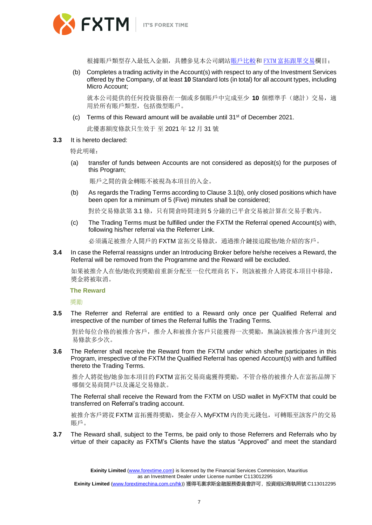

根據賬戶類型存入最低入金額,具體參見本公司網站賬戶比較和 FXTM 富拓跟單交易欄目;

(b) Completes a trading activity in the Account(s) with respect to any of the Investment Services offered by the Company, of at least **10** Standard lots (in total) for all account types, including Micro Account;

就本公司提供的任何投資服務在一個或多個賬戶中完成至少 **10** 個標準手(總計)交易,適 用於所有賬戶類型,包括微型賬戶。

(c) Terms of this Reward amount will be available until 31<sup>st</sup> of December 2021.

此優惠額度條款只生效于 至 2021 年 12 月 31 號

#### **3.3** It is hereto declared:

特此明確:

(a) transfer of funds between Accounts are not considered as deposit(s) for the purposes of this Program;

賬戶之間的資金轉賬不被視為本項目的入金。

(b) As regards the Trading Terms according to Clause 3.1(b), only closed positions which have been open for a minimum of 5 (Five) minutes shall be considered;

對於交易條款第 3.1 條,只有開倉時間達到 5 分鐘的已平倉交易被計算在交易手數內。

(c) The Trading Terms must be fulfilled under the FXTM the Referral opened Account(s) with, following his/her referral via the Referrer Link.

必須滿足被推介人開戶的 FXTM 富拓交易條款,通過推介鏈接追蹤他/她介紹的客戶。

**3.4** In case the Referral reassigns under an Introducing Broker before he/she receives a Reward, the Referral will be removed from the Programme and the Reward will be excluded.

如果被推介人在他/她收到獎勵前重新分配至一位代理商名下,則該被推介人將從本項目中移除, 獎金將被取消。

#### **The Reward**

獎勵

**3.5** The Referrer and Referral are entitled to a Reward only once per Qualified Referral and irrespective of the number of times the Referral fulfils the Trading Terms.

 對於每位合格的被推介客戶,推介人和被推介客戶只能獲得一次獎勵,無論該被推介客戶達到交 易條款多少次。

**3.6** The Referrer shall receive the Reward from the FXTM under which she/he participates in this Program, irrespective of the FXTM the Qualified Referral has opened Account(s) with and fulfilled thereto the Trading Terms.

 推介人將從他/她參加本項目的 FXTM 富拓交易商處獲得獎勵,不管合格的被推介人在富拓品牌下 哪個交易商開戶以及滿足交易條款。

The Referral shall receive the Reward from the FXTM on USD wallet in MyFXTM that could be transferred on Referral's trading account.

被推介客戶將從 FXTM 富拓獲得獎勵, 獎金存入 MvFXTM 内的美元錢包, 可轉賬至該客戶的交易 賬戶。

**3.7** The Reward shall, subject to the Terms, be paid only to those Referrers and Referrals who by virtue of their capacity as FXTM's Clients have the status "Approved" and meet the standard

> **Exinity Limited** [\(www.forextime.com\)](http://www.forextime.com/) is licensed by the Financial Services Commission, Mauritius as an Investment Dealer under License number C113012295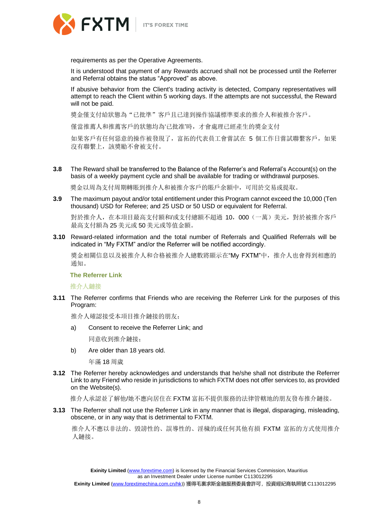

requirements as per the Operative Agreements.

It is understood that payment of any Rewards accrued shall not be processed until the Referrer and Referral obtains the status "Approved" as above.

If abusive behavior from the Client's trading activity is detected, Company representatives will attempt to reach the Client within 5 working days. If the attempts are not successful, the Reward will not be paid.

獎金僅支付給狀態為"已批準"客戶且已達到操作協議標準要求的推介人和被推介客戶。

僅當推薦人和推薦客戶的狀態均為'已批准'時,才會處理已經產生的獎金支付

如果客戶有任何惡意的操作被發現了,富拓的代表員工會嘗試在 5 個工作日嘗試聯繫客戶,如果 沒有聯繫上,該獎勵不會被支付。

**3.8** The Reward shall be transferred to the Balance of the Referrer's and Referral's Account(s) on the basis of a weekly payment cycle and shall be available for trading or withdrawal purposes.

獎金以周為支付周期轉賬到推介人和被推介客戶的賬戶余額中,可用於交易或提取。

**3.9** The maximum payout and/or total entitlement under this Program cannot exceed the 10,000 (Ten thousand) USD for Referee; and 25 USD or 50 USD or equivalent for Referral.

對於推介人,在本項目最高支付額和/或支付總額不超過 10,000(一萬)美元,對於被推介客戶 最高支付額為 25 美元或 50 美元或等值金額。

**3.10** Reward-related information and the total number of Referrals and Qualified Referrals will be indicated in "My FXTM" and/or the Referrer will be notified accordingly.

獎金相關信息以及被推介人和合格被推介人總數將顯示在"My FXTM"中, 推介人也會得到相應的 通知。

**The Referrer Link**

推介人鏈接

**3.11** The Referrer confirms that Friends who are receiving the Referrer Link for the purposes of this Program:

推介人確認接受本項目推介鏈接的朋友:

a) Consent to receive the Referrer Link; and

同意收到推介鏈接;

b) Are older than 18 years old.

年滿 18 周歲

**3.12** The Referrer hereby acknowledges and understands that he/she shall not distribute the Referrer Link to any Friend who reside in jurisdictions to which FXTM does not offer services to, as provided on the Website(s).

推介人承認並了解他/她不應向居住在 FXTM 富拓不提供服務的法律管轄地的朋友發布推介鏈接。

**3.13** The Referrer shall not use the Referrer Link in any manner that is illegal, disparaging, misleading, obscene, or in any way that is detrimental to FXTM.

 推介人不應以非法的、毀謗性的、誤導性的、淫穢的或任何其他有損 FXTM 富拓的方式使用推介 人鏈接。

**Exinity Limited** [\(www.forextime.com\)](http://www.forextime.com/) is licensed by the Financial Services Commission, Mauritius as an Investment Dealer under License number C113012295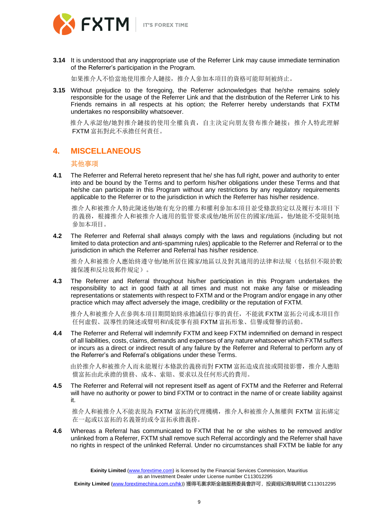



**3.14** It is understood that any inappropriate use of the Referrer Link may cause immediate termination of the Referrer's participation in the Program.

如果推介人不恰當地使用推介人鏈接,推介人參加本項目的資格可能即刻被終止。

**3.15** Without prejudice to the foregoing, the Referrer acknowledges that he/she remains solely responsible for the usage of the Referrer Link and that the distribution of the Referrer Link to his Friends remains in all respects at his option; the Referrer hereby understands that FXTM undertakes no responsibility whatsoever.

 推介人承認他/她對推介鏈接的使用全權負責,自主決定向朋友發布推介鏈接;推介人特此理解 FXTM 富拓對此不承擔任何責任。

## **4. MISCELLANEOUS**

## 其他事項

**4.1** The Referrer and Referral hereto represent that he/ she has full right, power and authority to enter into and be bound by the Terms and to perform his/her obligations under these Terms and that he/she can participate in this Program without any restrictions by any regulatory requirements applicable to the Referrer or to the jurisdiction in which the Referrer has his/her residence.

 推介人和被推介人特此陳述他/她有充分的權力和權利參加本項目並受條款約定以及履行本項目下 的義務,根據推介人和被推介人適用的監管要求或他/她所居住的國家/地區,他/她能不受限制地 參加本項目。

**4.2** The Referrer and Referral shall always comply with the laws and regulations (including but not limited to data protection and anti-spamming rules) applicable to the Referrer and Referral or to the jurisdiction in which the Referrer and Referral has his/her residence.

推介人和被推介人應始終遵守他/她所居住國家/地區以及對其適用的法律和法規(包括但不限於數 據保護和反垃圾郵件規定)。

**4.3** The Referrer and Referral throughout his/her participation in this Program undertakes the responsibility to act in good faith at all times and must not make any false or misleading representations or statements with respect to FXTM and or the Program and/or engage in any other practice which may affect adversely the image, credibility or the reputation of FXTM.

 推介人和被推介人在參與本項目期間始終承擔誠信行事的責任,不能就 FXTM 富拓公司或本項目作 任何虛假、誤導性的陳述或聲明和/或從事有損 FXTM 富拓形象、信譽或聲譽的活動。

**4.4** The Referrer and Referral will indemnify FXTM and keep FXTM indemnified on demand in respect of all liabilities, costs, claims, demands and expenses of any nature whatsoever which FXTM suffers or incurs as a direct or indirect result of any failure by the Referrer and Referral to perform any of the Referrer's and Referral's obligations under these Terms.

 由於推介人和被推介人而未能履行本條款的義務而對 FXTM 富拓造成直接或間接影響,推介人應賠 償富拓由此承擔的債務、成本、索賠、要求以及任何形式的費用。

**4.5** The Referrer and Referral will not represent itself as agent of FXTM and the Referrer and Referral will have no authority or power to bind FXTM or to contract in the name of or create liability against it.

 推介人和被推介人不能表現為 FXTM 富拓的代理機構,推介人和被推介人無權與 FXTM 富拓綁定 在一起或以富拓的名義簽約或令富拓承擔義務。

**4.6** Whereas a Referral has communicated to FXTM that he or she wishes to be removed and/or unlinked from a Referrer, FXTM shall remove such Referral accordingly and the Referrer shall have no rights in respect of the unlinked Referral. Under no circumstances shall FXTM be liable for any

> **Exinity Limited** [\(www.forextime.com\)](http://www.forextime.com/) is licensed by the Financial Services Commission, Mauritius as an Investment Dealer under License number C113012295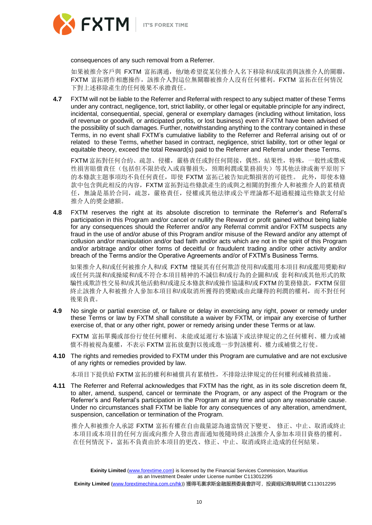



consequences of any such removal from a Referrer.

如果被推介客戶與 FXTM 富拓溝通,他/她希望從某位推介人名下移除和/或取消與該推介人的關聯, FXTM 富拓將作相應操作,該推介人對這位無關聯被推介人沒有任何權利。FXTM 富拓在任何情況 下對上述移除產生的任何後果不承擔責任。

**4.7** FXTM will not be liable to the Referrer and Referral with respect to any subject matter of these Terms under any contract, negligence, tort, strict liability, or other legal or equitable principle for any indirect, incidental, consequential, special, general or exemplary damages (including without limitation, loss of revenue or goodwill, or anticipated profits, or lost business) even if FXTM have been advised of the possibility of such damages. Further, notwithstanding anything to the contrary contained in these Terms, in no event shall FXTM's cumulative liability to the Referrer and Referral arising out of or related to these Terms, whether based in contract, negligence, strict liability, tort or other legal or equitable theory, exceed the total Reward(s) paid to the Referrer and Referral under these Terms.

FXTM 富拓對任何合約、疏忽、侵權,嚴格責任或對任何間接,偶然,結果性,特殊,一般性或懲戒 性損害賠償責任(包括但不限於收入或商譽損失,預期利潤或業務損失)等其他法律或衡平原則下 的本條款主題事項均不負任何責任,即使 FXTM 富拓已被告知此類損害的可能性。 此外,即使本條 款中包含與此相反的內容,FXTM 富拓對這些條款產生的或與之相關的對推介人和被推介人的累積責 任,無論是基於合同,疏忽,嚴格責任,侵權或其他法律或公平理論都不超過根據這些條款支付給 推介人的獎金總額。

**4.8** FXTM reserves the right at its absolute discretion to terminate the Referrer's and Referral's participation in this Program and/or cancel or nullify the Reward or profit gained without being liable for any consequences should the Referrer and/or any Referral commit and/or FXTM suspects any fraud in the use of and/or abuse of this Program and/or misuse of the Reward and/or any attempt of collusion and/or manipulation and/or bad faith and/or acts which are not in the spirit of this Program and/or arbitrage and/or other forms of deceitful or fraudulent trading and/or other activity and/or breach of the Terms and/or the Operative Agreements and/or of FXTM's Business Terms.

如果推介人和/或任何被推介人和/或 FXTM 懷疑其有任何欺詐使用和/或濫用本項目和/或濫用獎勵和/ 或任何共謀和/或操縱和/或不符合本項目精神的不誠信和/或行為的企圖和/或 套利和/或其他形式的欺 騙性或欺詐性交易和/或其他活動和/或違反本條款和/或操作協議和/或FXTM 的業務條款,FXTM 保留 終止該推介人和被推介人參加本項目和/或取消所獲得的獎勵或由此賺得的利潤的權利,而不對任何 後果負責。

**4.9** No single or partial exercise of, or failure or delay in exercising any right, power or remedy under these Terms or law by FXTM shall constitute a waiver by FXTM, or impair any exercise of further exercise of, that or any other right, power or remedy arising under these Terms or at law.

FXTM 富拓單獨或部份行使任何權利、未能或延遲行本協議下或法律規定的之任何權利、權力或補 償不得被視為棄權,不表示 FXTM 富拓放棄對以後或進一步對該權利、權力或補償之行使。

**4.10** The rights and remedies provided to FXTM under this Program are cumulative and are not exclusive of any rights or remedies provided by law.

本項目下提供給 FXTM 富拓的權利和補償具有累積性,不排除法律規定的任何權利或補救措施。

**4.11** The Referrer and Referral acknowledges that FXTM has the right, as in its sole discretion deem fit, to alter, amend, suspend, cancel or terminate the Program, or any aspect of the Program or the Referrer's and Referral's participation in the Program at any time and upon any reasonable cause. Under no circumstances shall FXTM be liable for any consequences of any alteration, amendment, suspension, cancellation or termination of the Program.

 推介人和被推介人承認 FXTM 富拓有權在自由裁量認為適當情況下變更、 修正、中止、取消或終止 本項目或本項目的任何方面或向推介人發出書面通知後隨時終止該推介人參加本項目資格的權利。 在任何情況下,富拓不負責由於本項目的更改、修正、中止、取消或終止造成的任何結果。

**Exinity Limited** [\(www.forextime.com\)](http://www.forextime.com/) is licensed by the Financial Services Commission, Mauritius as an Investment Dealer under License number C113012295 **Exinity Limited** [\(www.forextimechina.com.cn/hk](http://www.forextimechina.com.cn/hk))) 獲得毛裏求斯金融服務委員會許可,投資經紀商執照號 C113012295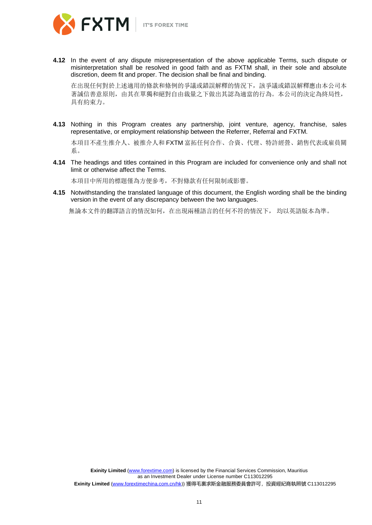

**4.12** In the event of any dispute misrepresentation of the above applicable Terms, such dispute or misinterpretation shall be resolved in good faith and as FXTM shall, in their sole and absolute discretion, deem fit and proper. The decision shall be final and binding.

在出現任何對於上述適用的條款和條例的爭議或錯誤解釋的情況下,該爭議或錯誤解釋應由本公司本 著誠信善意原則,由其在單獨和絕對自由裁量之下做出其認為適當的行為。本公司的決定為終局性, 具有約束力。

**4.13** Nothing in this Program creates any partnership, joint venture, agency, franchise, sales representative, or employment relationship between the Referrer, Referral and FXTM.

本項目不產生推介人、被推介人和 FXTM 富拓任何合作、合資、代理、特許經營、銷售代表或雇員關 系。

**4.14** The headings and titles contained in this Program are included for convenience only and shall not limit or otherwise affect the Terms.

本項目中所用的標題僅為方便參考,不對條款有任何限制或影響。

**4.15** Notwithstanding the translated language of this document, the English wording shall be the binding version in the event of any discrepancy between the two languages.

無論本文件的翻譯語言的情況如何,在出現兩種語言的任何不符的情況下, 均以英語版本為準。